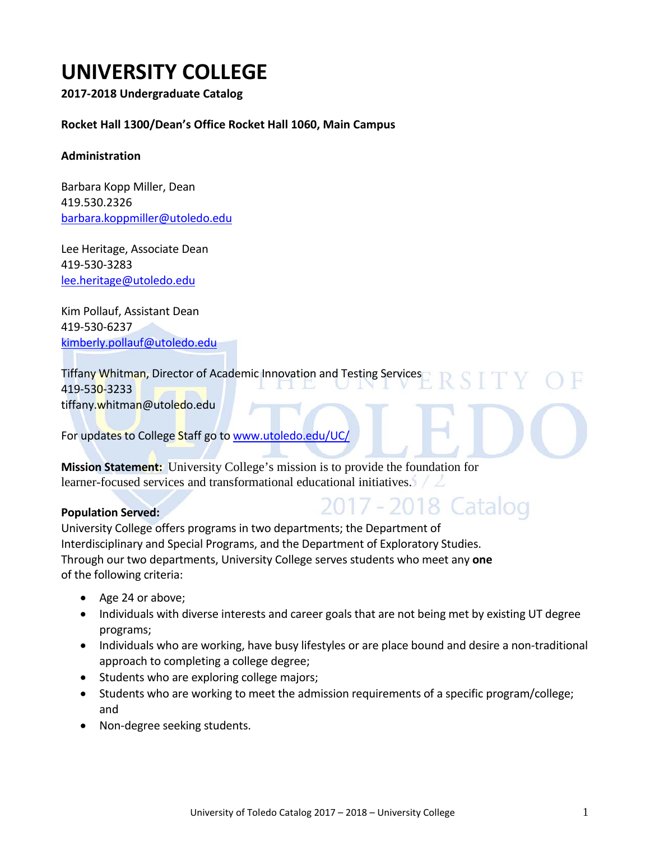# **UNIVERSITY COLLEGE**

**2017-2018 Undergraduate Catalog**

#### **Rocket Hall 1300/Dean's Office Rocket Hall 1060, Main Campus**

#### **Administration**

Barbara Kopp Miller, Dean 419.530.2326 [barbara.koppmiller@utoledo.edu](mailto:barbara.koppmiller@utoledo.edu)

Lee Heritage, Associate Dean 419-530-3283 [lee.heritage@utoledo.edu](mailto:lee.heritage@utoledo.edu)

Kim Pollauf, Assistant Dean 419-530-6237 [kimberly.pollauf@utoledo.edu](mailto:kimberly.pollauf@utoledo.edu)

Tiffany Whitman, Director of Academic Innovation and Testing Services 419-530-3233 tiffany.whitman@utoledo.edu

For updates to College Staff go t[o www.utoledo.edu/UC/](http://www.utoledo.edu/call/)

**Mission Statement:** University College's mission is to provide the foundation for learner-focused services and transformational educational initiatives.

#### **Population Served:**

2017 - 2018 Catalog University College offers programs in two departments; the Department of

Interdisciplinary and Special Programs, and the Department of Exploratory Studies. Through our two departments, University College serves students who meet any **one**  of the following criteria:

- Age 24 or above;
- Individuals with diverse interests and career goals that are not being met by existing UT degree programs;
- Individuals who are working, have busy lifestyles or are place bound and desire a non-traditional approach to completing a college degree;
- Students who are exploring college majors;
- Students who are working to meet the admission requirements of a specific program/college; and
- Non-degree seeking students.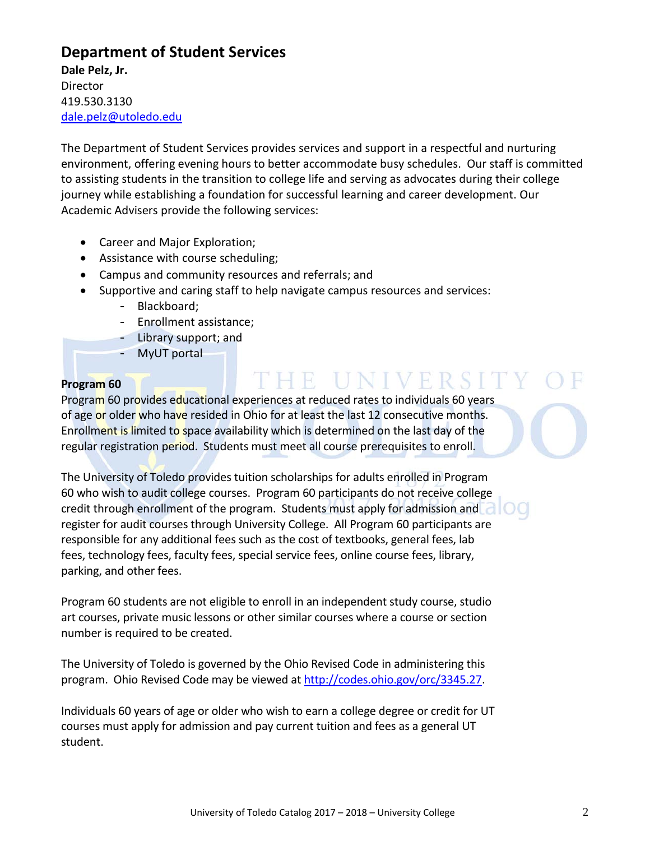# **Department of Student Services**

**Dale Pelz, Jr. Director** 419.530.3130 [dale.pelz@utoledo.edu](mailto:dale.pelz@utoledo.edu)

The Department of Student Services provides services and support in a respectful and nurturing environment, offering evening hours to better accommodate busy schedules. Our staff is committed to assisting students in the transition to college life and serving as advocates during their college journey while establishing a foundation for successful learning and career development. Our Academic Advisers provide the following services:

- Career and Major Exploration;
- Assistance with course scheduling;
- Campus and community resources and referrals; and
- Supportive and caring staff to help navigate campus resources and services:
	- Blackboard;
	- Enrollment assistance;
	- Library support; and
	- MyUT portal

#### **Program 60**

# THE UNIVERSITY

Program 60 provides educational experiences at reduced rates to individuals 60 years of age or older who have resided in Ohio for at least the last 12 consecutive months. Enrollment is limited to space availability which is determined on the last day of the regular registration period. Students must meet all course prerequisites to enroll.

The University of Toledo provides tuition scholarships for adults enrolled in Program 60 who wish to audit college courses. Program 60 participants do not receive college credit through enrollment of the program. Students must apply for admission and register for audit courses through University College. All Program 60 participants are responsible for any additional fees such as the cost of textbooks, general fees, lab fees, technology fees, faculty fees, special service fees, online course fees, library, parking, and other fees.

Program 60 students are not eligible to enroll in an independent study course, studio art courses, private music lessons or other similar courses where a course or section number is required to be created.

The University of Toledo is governed by the Ohio Revised Code in administering this program. Ohio Revised Code may be viewed at [http://codes.ohio.gov/orc/3345.27.](http://codes.ohio.gov/orc/3345.27)

Individuals 60 years of age or older who wish to earn a college degree or credit for UT courses must apply for admission and pay current tuition and fees as a general UT student.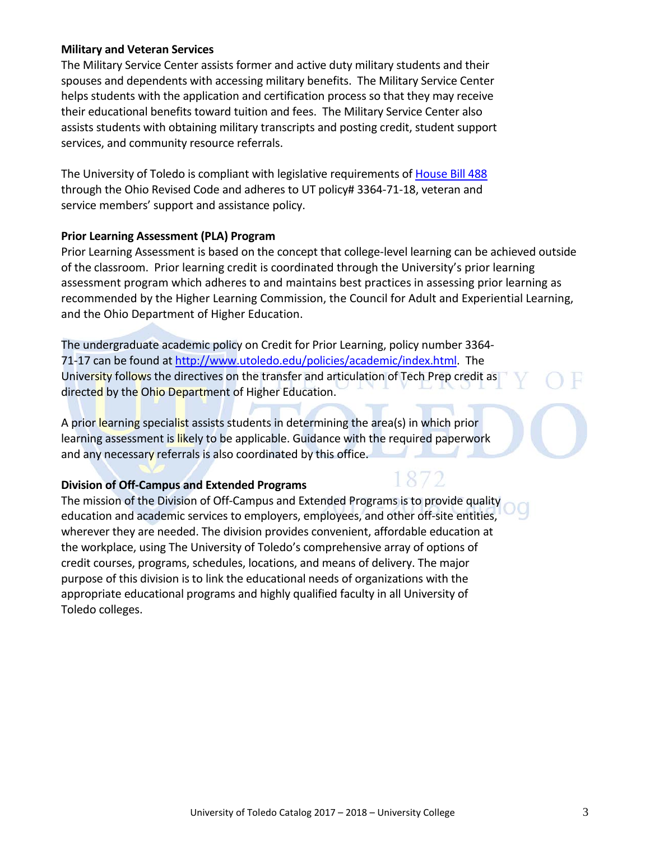#### **Military and Veteran Services**

The Military Service Center assists former and active duty military students and their spouses and dependents with accessing military benefits. The Military Service Center helps students with the application and certification process so that they may receive their educational benefits toward tuition and fees. The Military Service Center also assists students with obtaining military transcripts and posting credit, student support services, and community resource referrals.

The University of Toledo is compliant with legislative requirements of [House Bill 488](https://www.ohiohighered.org/valuing_ohio_veterans/toolkit/policies/ohio-revised-code) through the Ohio Revised Code and adheres to UT policy# 3364-71-18, veteran and service members' support and assistance policy.

#### **Prior Learning Assessment (PLA) Program**

Prior Learning Assessment is based on the concept that college-level learning can be achieved outside of the classroom. Prior learning credit is coordinated through the University's prior learning assessment program which adheres to and maintains best practices in assessing prior learning as recommended by the Higher Learning Commission, the Council for Adult and Experiential Learning, and the Ohio Department of Higher Education.

872

The undergraduate academic policy on Credit for Prior Learning, policy number 3364- 71-17 can be found at [http://www.utoledo.edu/policies/academic/index.html.](http://www.utoledo.edu/policies/academic/index.html) The University follows the directives on the transfer and articulation of Tech Prep credit as directed by the Ohio Department of Higher Education.

A prior learning specialist assists students in determining the area(s) in which prior learning assessment is likely to be applicable. Guidance with the required paperwork and any necessary referrals is also coordinated by this office.

#### **Division of Off-Campus and Extended Programs**

The mission of the Division of Off-Campus and Extended Programs is to provide quality education and academic services to employers, employees, and other off-site entities, wherever they are needed. The division provides convenient, affordable education at the workplace, using The University of Toledo's comprehensive array of options of credit courses, programs, schedules, locations, and means of delivery. The major purpose of this division is to link the educational needs of organizations with the appropriate educational programs and highly qualified faculty in all University of Toledo colleges.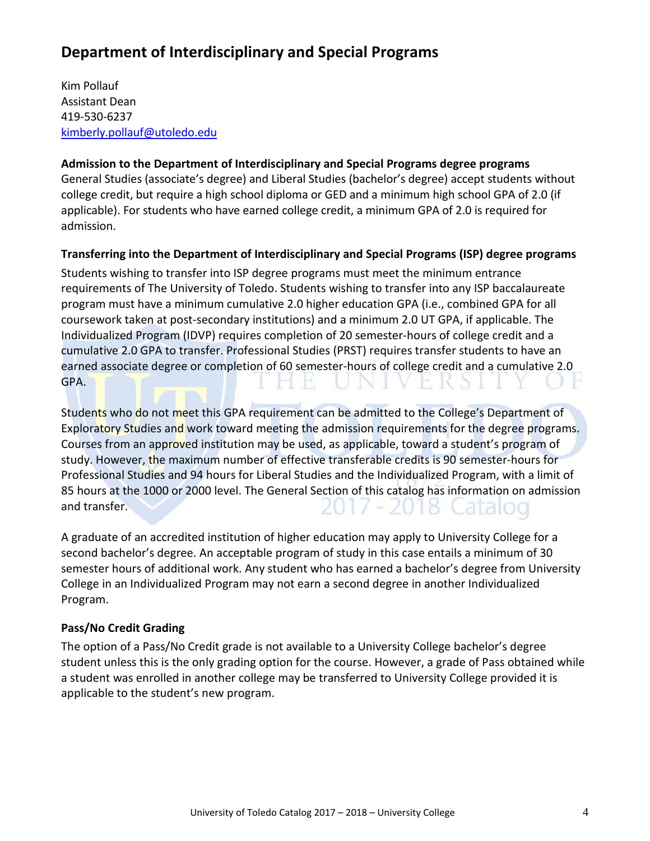# **Department of Interdisciplinary and Special Programs**

Kim Pollauf Assistant Dean 419-530-6237 [kimberly.pollauf@utoledo.edu](mailto:kimberly.pollauf@utoledo.edu)

#### **Admission to the Department of Interdisciplinary and Special Programs degree programs**

General Studies (associate's degree) and Liberal Studies (bachelor's degree) accept students without college credit, but require a high school diploma or GED and a minimum high school GPA of 2.0 (if applicable). For students who have earned college credit, a minimum GPA of 2.0 is required for admission.

#### **Transferring into the Department of Interdisciplinary and Special Programs (ISP) degree programs**

Students wishing to transfer into ISP degree programs must meet the minimum entrance requirements of The University of Toledo. Students wishing to transfer into any ISP baccalaureate program must have a minimum cumulative 2.0 higher education GPA (i.e., combined GPA for all coursework taken at post-secondary institutions) and a minimum 2.0 UT GPA, if applicable. The Individualized Program (IDVP) requires completion of 20 semester-hours of college credit and a cumulative 2.0 GPA to transfer. Professional Studies (PRST) requires transfer students to have an earned associate degree or completion of 60 semester-hours of college credit and a cumulative 2.0 GPA.

Students who do not meet this GPA requirement can be admitted to the College's Department of Exploratory Studies and work toward meeting the admission requirements for the degree programs. Courses from an approved institution may be used, as applicable, toward a student's program of study. However, the maximum number of effective transferable credits is 90 semester-hours for Professional Studies and 94 hours for Liberal Studies and the Individualized Program, with a limit of 85 hours at the 1000 or 2000 level. The General Section of this catalog has information on admission and transfer. 2017–2018 Catalog

A graduate of an accredited institution of higher education may apply to University College for a second bachelor's degree. An acceptable program of study in this case entails a minimum of 30 semester hours of additional work. Any student who has earned a bachelor's degree from University College in an Individualized Program may not earn a second degree in another Individualized Program.

#### **Pass/No Credit Grading**

The option of a Pass/No Credit grade is not available to a University College bachelor's degree student unless this is the only grading option for the course. However, a grade of Pass obtained while a student was enrolled in another college may be transferred to University College provided it is applicable to the student's new program.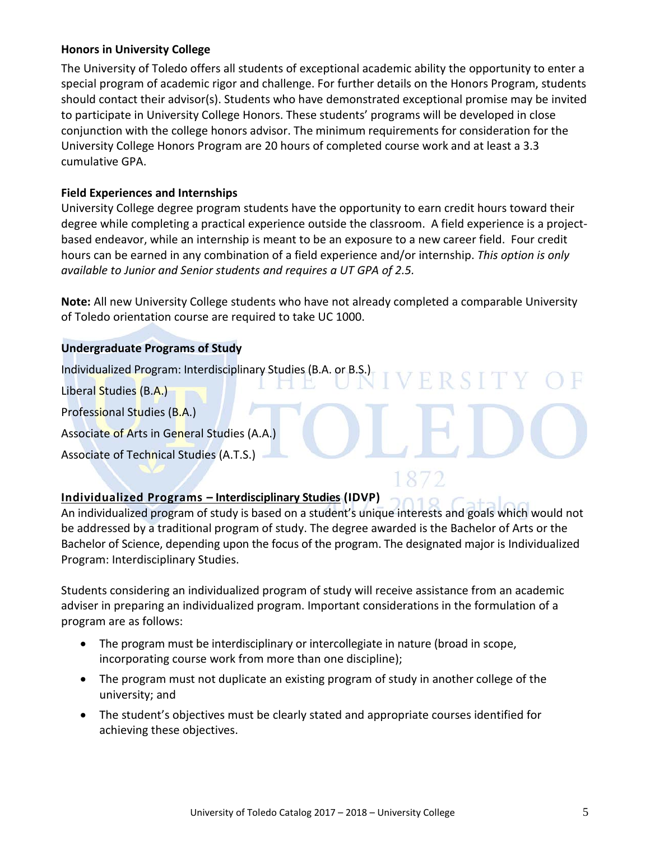#### **Honors in University College**

The University of Toledo offers all students of exceptional academic ability the opportunity to enter a special program of academic rigor and challenge. For further details on the Honors Program, students should contact their advisor(s). Students who have demonstrated exceptional promise may be invited to participate in University College Honors. These students' programs will be developed in close conjunction with the college honors advisor. The minimum requirements for consideration for the University College Honors Program are 20 hours of completed course work and at least a 3.3 cumulative GPA.

#### **Field Experiences and Internships**

University College degree program students have the opportunity to earn credit hours toward their degree while completing a practical experience outside the classroom. A field experience is a projectbased endeavor, while an internship is meant to be an exposure to a new career field. Four credit hours can be earned in any combination of a field experience and/or internship. *This option is only available to Junior and Senior students and requires a UT GPA of 2.5.*

**Note:** All new University College students who have not already completed a comparable University of Toledo orientation course are required to take UC 1000.

FRSIT

#### **Undergraduate Programs of Study**

Individualized Program: Interdisciplinary Studies (B.A. or B.S.)

Liberal Studies (B.A.)

Professional Studies (B.A.)

Associate of Arts in General Studies (A.A.)

Associate of Technical Studies (A.T.S.)

### **Individualized Programs – Interdisciplinary Studies (IDVP)**

An individualized program of study is based on a student's unique interests and goals which would not be addressed by a traditional program of study. The degree awarded is the Bachelor of Arts or the Bachelor of Science, depending upon the focus of the program. The designated major is Individualized Program: Interdisciplinary Studies.

Students considering an individualized program of study will receive assistance from an academic adviser in preparing an individualized program. Important considerations in the formulation of a program are as follows:

- The program must be interdisciplinary or intercollegiate in nature (broad in scope, incorporating course work from more than one discipline);
- The program must not duplicate an existing program of study in another college of the university; and
- The student's objectives must be clearly stated and appropriate courses identified for achieving these objectives.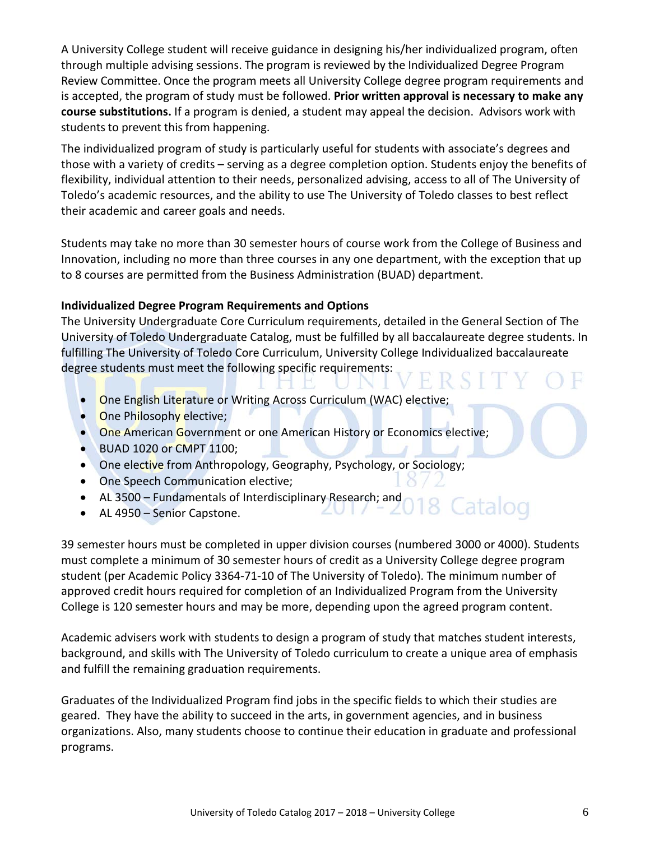A University College student will receive guidance in designing his/her individualized program, often through multiple advising sessions. The program is reviewed by the Individualized Degree Program Review Committee. Once the program meets all University College degree program requirements and is accepted, the program of study must be followed. **Prior written approval is necessary to make any course substitutions.** If a program is denied, a student may appeal the decision. Advisors work with students to prevent this from happening.

The individualized program of study is particularly useful for students with associate's degrees and those with a variety of credits – serving as a degree completion option. Students enjoy the benefits of flexibility, individual attention to their needs, personalized advising, access to all of The University of Toledo's academic resources, and the ability to use The University of Toledo classes to best reflect their academic and career goals and needs.

Students may take no more than 30 semester hours of course work from the College of Business and Innovation, including no more than three courses in any one department, with the exception that up to 8 courses are permitted from the Business Administration (BUAD) department.

#### **Individualized Degree Program Requirements and Options**

The University Undergraduate Core Curriculum requirements, detailed in the General Section of The University of Toledo Undergraduate Catalog, must be fulfilled by all baccalaureate degree students. In fulfilling The University of Toledo Core Curriculum, University College Individualized baccalaureate degree students must meet the following specific requirements:

- One English Literature or Writing Across Curriculum (WAC) elective;
- One Philosophy elective;
- One American Government or one American History or Economics elective;
- BUAD 1020 or CMPT 1100;
- One elective from Anthropology, Geography, Psychology, or Sociology;
- One Speech Communication elective;
- AL 3500 Fundamentals of Interdisciplinary Research; and
- AL 4950 Senior Capstone.

39 semester hours must be completed in upper division courses (numbered 3000 or 4000). Students must complete a minimum of 30 semester hours of credit as a University College degree program student (per Academic Policy 3364-71-10 of The University of Toledo). The minimum number of approved credit hours required for completion of an Individualized Program from the University College is 120 semester hours and may be more, depending upon the agreed program content.

Academic advisers work with students to design a program of study that matches student interests, background, and skills with The University of Toledo curriculum to create a unique area of emphasis and fulfill the remaining graduation requirements.

Graduates of the Individualized Program find jobs in the specific fields to which their studies are geared. They have the ability to succeed in the arts, in government agencies, and in business organizations. Also, many students choose to continue their education in graduate and professional programs.

8 Catalog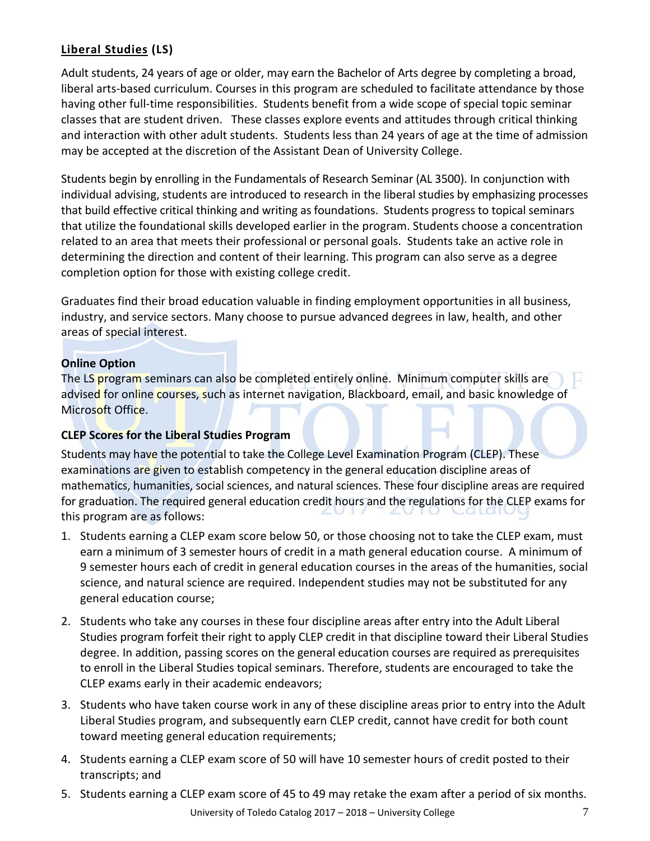### **Liberal Studies (LS)**

Adult students, 24 years of age or older, may earn the Bachelor of Arts degree by completing a broad, liberal arts-based curriculum. Courses in this program are scheduled to facilitate attendance by those having other full-time responsibilities. Students benefit from a wide scope of special topic seminar classes that are student driven. These classes explore events and attitudes through critical thinking and interaction with other adult students. Students less than 24 years of age at the time of admission may be accepted at the discretion of the Assistant Dean of University College.

Students begin by enrolling in the Fundamentals of Research Seminar (AL 3500). In conjunction with individual advising, students are introduced to research in the liberal studies by emphasizing processes that build effective critical thinking and writing as foundations. Students progress to topical seminars that utilize the foundational skills developed earlier in the program. Students choose a concentration related to an area that meets their professional or personal goals. Students take an active role in determining the direction and content of their learning. This program can also serve as a degree completion option for those with existing college credit.

Graduates find their broad education valuable in finding employment opportunities in all business, industry, and service sectors. Many choose to pursue advanced degrees in law, health, and other areas of special interest.

#### **Online Option**

The LS program seminars can also be completed entirely online. Minimum computer skills are advised for online courses, such as internet navigation, Blackboard, email, and basic knowledge of Microsoft Office.

#### **CLEP Scores for the Liberal Studies Program**

Students may have the potential to take the College Level Examination Program (CLEP). These examinations are given to establish competency in the general education discipline areas of mathematics, humanities, social sciences, and natural sciences. These four discipline areas are required for graduation. The required general education credit hours and the regulations for the CLEP exams for this program are as follows:

- 1. Students earning a CLEP exam score below 50, or those choosing not to take the CLEP exam, must earn a minimum of 3 semester hours of credit in a math general education course. A minimum of 9 semester hours each of credit in general education courses in the areas of the humanities, social science, and natural science are required. Independent studies may not be substituted for any general education course;
- 2. Students who take any courses in these four discipline areas after entry into the Adult Liberal Studies program forfeit their right to apply CLEP credit in that discipline toward their Liberal Studies degree. In addition, passing scores on the general education courses are required as prerequisites to enroll in the Liberal Studies topical seminars. Therefore, students are encouraged to take the CLEP exams early in their academic endeavors;
- 3. Students who have taken course work in any of these discipline areas prior to entry into the Adult Liberal Studies program, and subsequently earn CLEP credit, cannot have credit for both count toward meeting general education requirements;
- 4. Students earning a CLEP exam score of 50 will have 10 semester hours of credit posted to their transcripts; and
- 5. Students earning a CLEP exam score of 45 to 49 may retake the exam after a period of six months.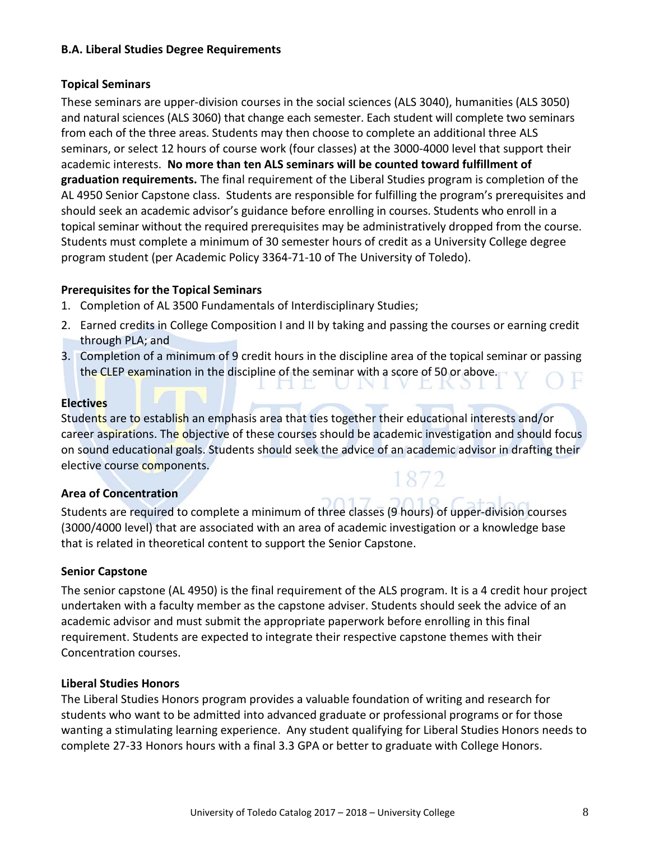#### **B.A. Liberal Studies Degree Requirements**

#### **Topical Seminars**

These seminars are upper-division courses in the social sciences (ALS 3040), humanities (ALS 3050) and natural sciences (ALS 3060) that change each semester. Each student will complete two seminars from each of the three areas. Students may then choose to complete an additional three ALS seminars, or select 12 hours of course work (four classes) at the 3000-4000 level that support their academic interests. **No more than ten ALS seminars will be counted toward fulfillment of graduation requirements.** The final requirement of the Liberal Studies program is completion of the AL 4950 Senior Capstone class. Students are responsible for fulfilling the program's prerequisites and should seek an academic advisor's guidance before enrolling in courses. Students who enroll in a topical seminar without the required prerequisites may be administratively dropped from the course. Students must complete a minimum of 30 semester hours of credit as a University College degree program student (per Academic Policy 3364-71-10 of The University of Toledo).

#### **Prerequisites for the Topical Seminars**

- 1. Completion of AL 3500 Fundamentals of Interdisciplinary Studies;
- 2. Earned credits in College Composition I and II by taking and passing the courses or earning credit through PLA; and
- 3. Completion of a minimum of 9 credit hours in the discipline area of the topical seminar or passing the CLEP examination in the discipline of the seminar with a score of 50 or above.

 $\mathcal{L}$ 

#### **Electives**

Students are to establish an emphasis area that ties together their educational interests and/or career aspirations. The objective of these courses should be academic investigation and should focus on sound educational goals. Students should seek the advice of an academic advisor in drafting their elective course components.

#### **Area of Concentration**

Students are required to complete a minimum of three classes (9 hours) of upper-division courses (3000/4000 level) that are associated with an area of academic investigation or a knowledge base that is related in theoretical content to support the Senior Capstone.

#### **Senior Capstone**

The senior capstone (AL 4950) is the final requirement of the ALS program. It is a 4 credit hour project undertaken with a faculty member as the capstone adviser. Students should seek the advice of an academic advisor and must submit the appropriate paperwork before enrolling in this final requirement. Students are expected to integrate their respective capstone themes with their Concentration courses.

#### **Liberal Studies Honors**

The Liberal Studies Honors program provides a valuable foundation of writing and research for students who want to be admitted into advanced graduate or professional programs or for those wanting a stimulating learning experience. Any student qualifying for Liberal Studies Honors needs to complete 27-33 Honors hours with a final 3.3 GPA or better to graduate with College Honors.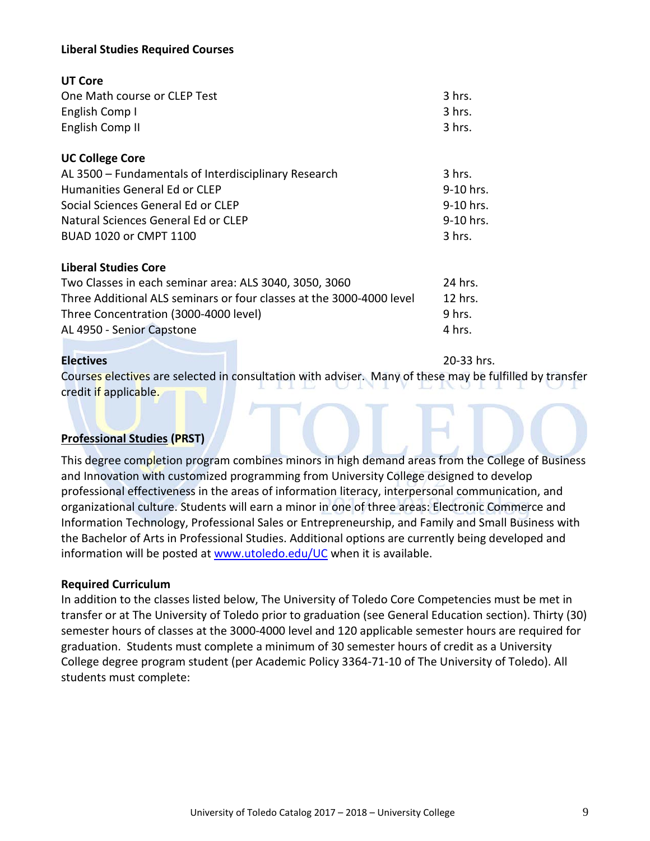#### **Liberal Studies Required Courses**

| <b>UT Core</b>                                       |           |
|------------------------------------------------------|-----------|
| One Math course or CLEP Test                         | 3 hrs.    |
| English Comp I                                       | 3 hrs.    |
| English Comp II                                      | 3 hrs.    |
| <b>UC College Core</b>                               |           |
| AL 3500 - Fundamentals of Interdisciplinary Research | 3 hrs.    |
| <b>Humanities General Ed or CLEP</b>                 | 9-10 hrs. |
| Social Sciences General Ed or CLEP                   | 9-10 hrs. |
| Natural Sciences General Ed or CLEP                  | 9-10 hrs. |
| BUAD 1020 or CMPT 1100                               | 3 hrs.    |
| <b>Liberal Studies Core</b>                          |           |

| Two Classes in each seminar area: ALS 3040, 3050, 3060               | 24 hrs. |
|----------------------------------------------------------------------|---------|
| Three Additional ALS seminars or four classes at the 3000-4000 level | 12 hrs. |
| Three Concentration (3000-4000 level)                                | 9 hrs.  |
| AL 4950 - Senior Capstone                                            | 4 hrs.  |

**Electives** 20-33 hrs.

Courses electives are selected in consultation with adviser. Many of these may be fulfilled by transfer credit if applicable.

#### **Professional Studies (PRST)**

This degree completion program combines minors in high demand areas from the College of Business and Innovation with customized programming from University College designed to develop professional effectiveness in the areas of information literacy, interpersonal communication, and organizational culture. Students will earn a minor in one of three areas: Electronic Commerce and Information Technology, Professional Sales or Entrepreneurship, and Family and Small Business with the Bachelor of Arts in Professional Studies. Additional options are currently being developed and information will be posted a[t www.utoledo.edu/UC](http://www.utoledo.edu/CALL) when it is available.

#### **Required Curriculum**

In addition to the classes listed below, The University of Toledo Core Competencies must be met in transfer or at The University of Toledo prior to graduation (see General Education section). Thirty (30) semester hours of classes at the 3000-4000 level and 120 applicable semester hours are required for graduation. Students must complete a minimum of 30 semester hours of credit as a University College degree program student (per Academic Policy 3364-71-10 of The University of Toledo). All students must complete: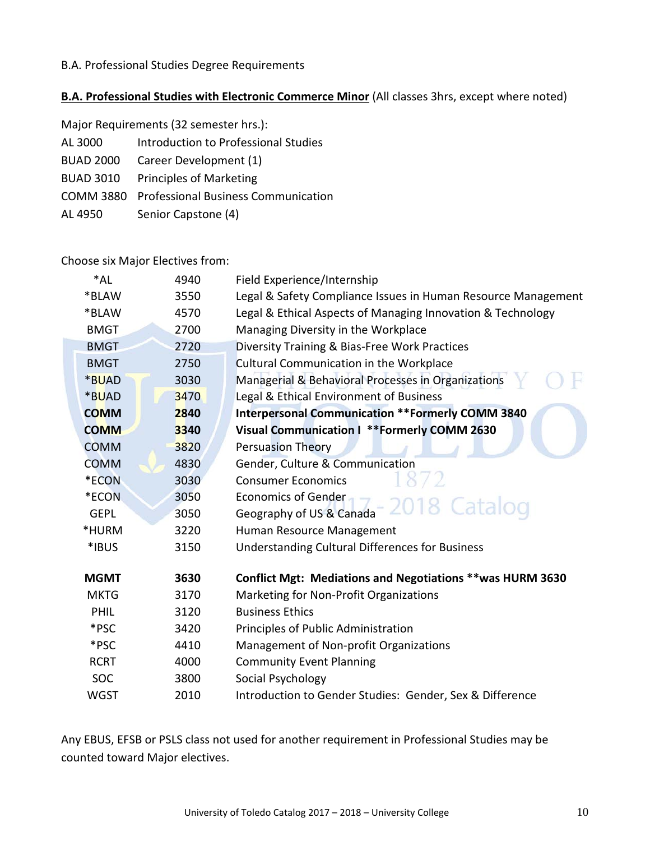#### B.A. Professional Studies Degree Requirements

### **B.A. Professional Studies with Electronic Commerce Minor** (All classes 3hrs, except where noted)

| Major Requirements (32 semester hrs.): |                                            |  |
|----------------------------------------|--------------------------------------------|--|
| AL 3000                                | Introduction to Professional Studies       |  |
| <b>BUAD 2000</b>                       | Career Development (1)                     |  |
| <b>BUAD 3010</b>                       | Principles of Marketing                    |  |
| COMM 3880                              | <b>Professional Business Communication</b> |  |
| AL 4950                                | Senior Capstone (4)                        |  |

Choose six Major Electives from:

| 4940 | Field Experience/Internship                                       |
|------|-------------------------------------------------------------------|
| 3550 | Legal & Safety Compliance Issues in Human Resource Management     |
| 4570 | Legal & Ethical Aspects of Managing Innovation & Technology       |
| 2700 | Managing Diversity in the Workplace                               |
| 2720 | Diversity Training & Bias-Free Work Practices                     |
| 2750 | Cultural Communication in the Workplace                           |
| 3030 | Managerial & Behavioral Processes in Organizations                |
| 3470 | Legal & Ethical Environment of Business                           |
| 2840 | <b>Interpersonal Communication ** Formerly COMM 3840</b>          |
| 3340 | Visual Communication I ** Formerly COMM 2630                      |
| 3820 | <b>Persuasion Theory</b>                                          |
| 4830 | Gender, Culture & Communication                                   |
| 3030 | <b>Consumer Economics</b>                                         |
| 3050 | <b>Economics of Gender</b>                                        |
| 3050 | Catalog<br>Geography of US & Canada                               |
| 3220 | Human Resource Management                                         |
| 3150 | <b>Understanding Cultural Differences for Business</b>            |
| 3630 | <b>Conflict Mgt: Mediations and Negotiations ** was HURM 3630</b> |
| 3170 | Marketing for Non-Profit Organizations                            |
| 3120 | <b>Business Ethics</b>                                            |
| 3420 | Principles of Public Administration                               |
| 4410 | Management of Non-profit Organizations                            |
| 4000 | <b>Community Event Planning</b>                                   |
| 3800 | Social Psychology                                                 |
| 2010 | Introduction to Gender Studies: Gender, Sex & Difference          |
|      |                                                                   |

Any EBUS, EFSB or PSLS class not used for another requirement in Professional Studies may be counted toward Major electives.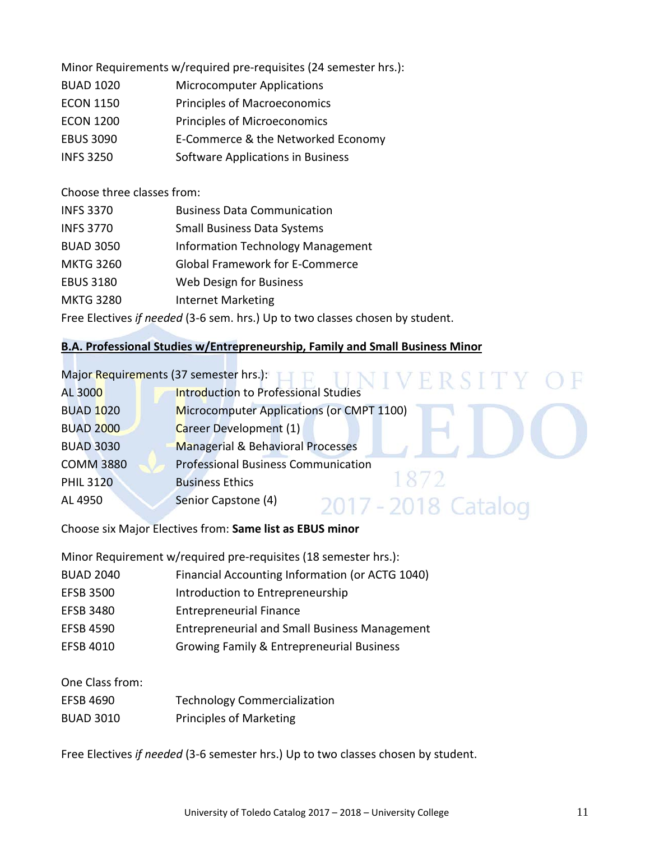Minor Requirements w/required pre-requisites (24 semester hrs.):

- BUAD 1020 Microcomputer Applications
- ECON 1150 Principles of Macroeconomics
- ECON 1200 Principles of Microeconomics
- EBUS 3090 E-Commerce & the Networked Economy
- INFS 3250 Software Applications in Business

Choose three classes from:

| <b>INFS 3370</b>                                                              | <b>Business Data Communication</b>       |
|-------------------------------------------------------------------------------|------------------------------------------|
| <b>INFS 3770</b>                                                              | <b>Small Business Data Systems</b>       |
| <b>BUAD 3050</b>                                                              | <b>Information Technology Management</b> |
| <b>MKTG 3260</b>                                                              | <b>Global Framework for E-Commerce</b>   |
| <b>EBUS 3180</b>                                                              | Web Design for Business                  |
| <b>MKTG 3280</b>                                                              | <b>Internet Marketing</b>                |
| Free Electives if needed (3-6 sem. hrs.) Up to two classes chosen by student. |                                          |

#### **B.A. Professional Studies w/Entrepreneurship, Family and Small Business Minor**

| Major Requirements (37 semester hrs.): | NIVERSLIY OF                                 |
|----------------------------------------|----------------------------------------------|
| AL 3000                                | <b>Introduction to Professional Studies</b>  |
| <b>BUAD 1020</b>                       | Microcomputer Applications (or CMPT 1100)    |
| <b>BUAD 2000</b>                       | Career Development (1)                       |
| <b>BUAD 3030</b>                       | <b>Managerial &amp; Behavioral Processes</b> |
| <b>COMM 3880</b>                       | <b>Professional Business Communication</b>   |
| <b>PHIL 3120</b>                       | 1872<br><b>Business Ethics</b>               |
| AL 4950                                | Senior Capstone (4)<br>2017 - 2018 Catalog   |

Choose six Major Electives from: **Same list as EBUS minor**

Minor Requirement w/required pre-requisites (18 semester hrs.):

- BUAD 2040 Financial Accounting Information (or ACTG 1040)
- EFSB 3500 Introduction to Entrepreneurship
- EFSB 3480 Entrepreneurial Finance
- EFSB 4590 Entrepreneurial and Small Business Management
- EFSB 4010 Growing Family & Entrepreneurial Business

One Class from:

| EFSB 4690         | <b>Technology Commercialization</b> |
|-------------------|-------------------------------------|
| <b>DIIAN 2010</b> | Drinciples of Marketing             |

BUAD 3010 Principles of Marketing

Free Electives *if needed* (3-6 semester hrs.) Up to two classes chosen by student.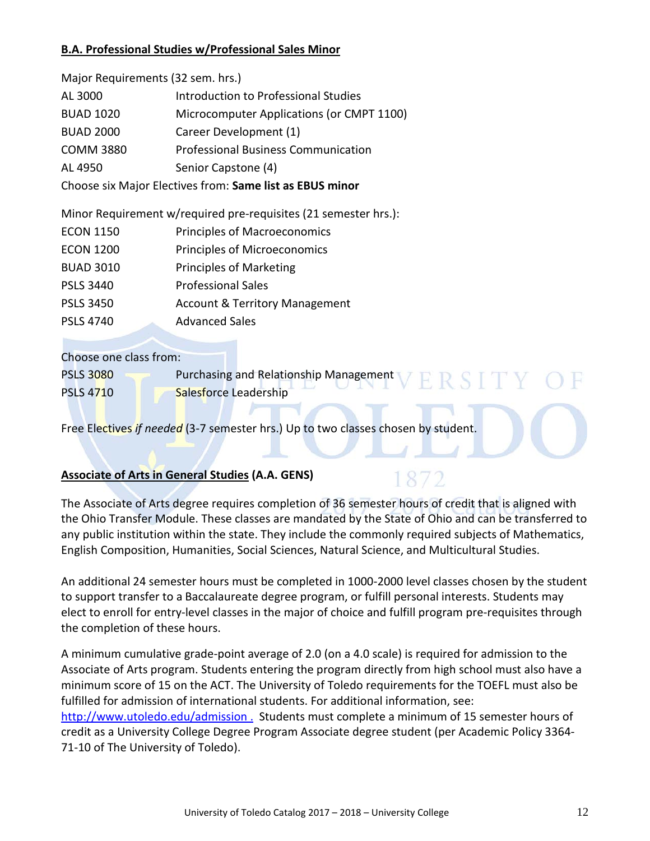#### **B.A. Professional Studies w/Professional Sales Minor**

| Major Requirements (32 sem. hrs.)                        |                                            |
|----------------------------------------------------------|--------------------------------------------|
| AL 3000                                                  | Introduction to Professional Studies       |
| <b>BUAD 1020</b>                                         | Microcomputer Applications (or CMPT 1100)  |
| <b>BUAD 2000</b>                                         | Career Development (1)                     |
| <b>COMM 3880</b>                                         | <b>Professional Business Communication</b> |
| AL 4950                                                  | Senior Capstone (4)                        |
| Choose six Major Electives from: Same list as EBUS minor |                                            |

Minor Requirement w/required pre-requisites (21 semester hrs.):

| <b>ECON 1150</b> | <b>Principles of Macroeconomics</b>       |
|------------------|-------------------------------------------|
| <b>ECON 1200</b> | Principles of Microeconomics              |
| <b>BUAD 3010</b> | Principles of Marketing                   |
| <b>PSLS 3440</b> | <b>Professional Sales</b>                 |
| <b>PSLS 3450</b> | <b>Account &amp; Territory Management</b> |
| <b>PSLS 4740</b> | <b>Advanced Sales</b>                     |

Choose one class from:

PSLS 3080 Purchasing and Relationship Management ERSITY PSLS 4710 Salesforce Leadership

Free Electives *if needed* (3-7 semester hrs.) Up to two classes chosen by student.

### **Associate of Arts in General Studies (A.A. GENS)**

The Associate of Arts degree requires completion of 36 semester hours of credit that is aligned with the Ohio Transfer Module. These classes are mandated by the State of Ohio and can be transferred to any public institution within the state. They include the commonly required subjects of Mathematics, English Composition, Humanities, Social Sciences, Natural Science, and Multicultural Studies.

An additional 24 semester hours must be completed in 1000-2000 level classes chosen by the student to support transfer to a Baccalaureate degree program, or fulfill personal interests. Students may elect to enroll for entry-level classes in the major of choice and fulfill program pre-requisites through the completion of these hours.

A minimum cumulative grade-point average of 2.0 (on a 4.0 scale) is required for admission to the Associate of Arts program. Students entering the program directly from high school must also have a minimum score of 15 on the ACT. The University of Toledo requirements for the TOEFL must also be fulfilled for admission of international students. For additional information, see: <http://www.utoledo.edu/admission> . Students must complete a minimum of 15 semester hours of credit as a University College Degree Program Associate degree student (per Academic Policy 3364-

71-10 of The University of Toledo).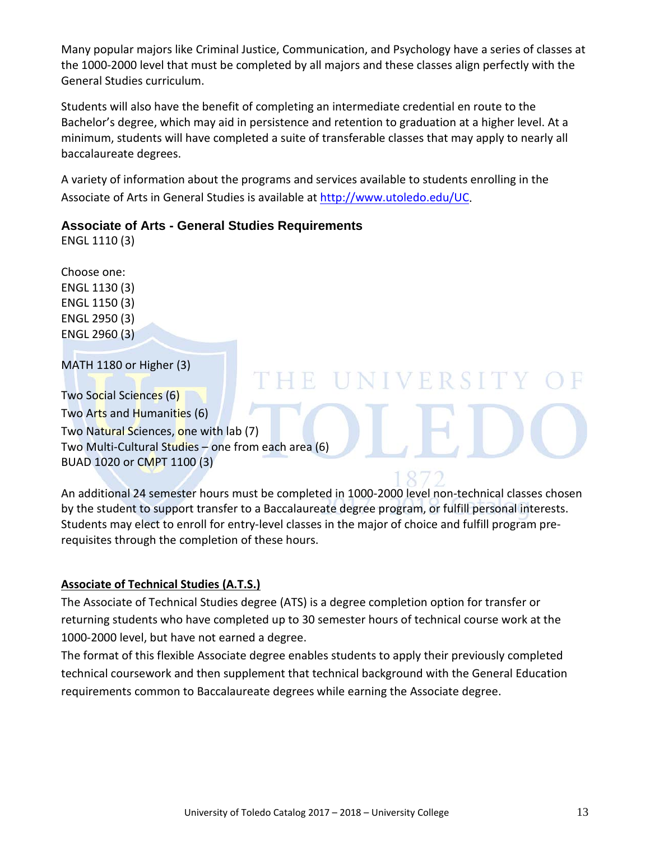Many popular majors like Criminal Justice, Communication, and Psychology have a series of classes at the 1000-2000 level that must be completed by all majors and these classes align perfectly with the General Studies curriculum.

Students will also have the benefit of completing an intermediate credential en route to the Bachelor's degree, which may aid in persistence and retention to graduation at a higher level. At a minimum, students will have completed a suite of transferable classes that may apply to nearly all baccalaureate degrees.

A variety of information about the programs and services available to students enrolling in the Associate of Arts in General Studies is available at [http://www.utoledo.edu/UC.](http://www.utoledo.edu/CALL)

#### **Associate of Arts - General Studies Requirements**

ENGL 1110 (3)

Choose one: ENGL 1130 (3) ENGL 1150 (3) ENGL 2950 (3) ENGL 2960 (3)

MATH 1180 or Higher (3)

Two Social Sciences (6) Two Arts and Humanities (6) Two Natural Sciences, one with lab (7) Two Multi-Cultural Studies – one from each area (6) BUAD 1020 or CMPT 1100 (3)

An additional 24 semester hours must be completed in 1000-2000 level non-technical classes chosen by the student to support transfer to a Baccalaureate degree program, or fulfill personal interests. Students may elect to enroll for entry-level classes in the major of choice and fulfill program prerequisites through the completion of these hours.

E UNIVERSITY

### **Associate of Technical Studies (A.T.S.)**

The Associate of Technical Studies degree (ATS) is a degree completion option for transfer or returning students who have completed up to 30 semester hours of technical course work at the 1000-2000 level, but have not earned a degree.

The format of this flexible Associate degree enables students to apply their previously completed technical coursework and then supplement that technical background with the General Education requirements common to Baccalaureate degrees while earning the Associate degree.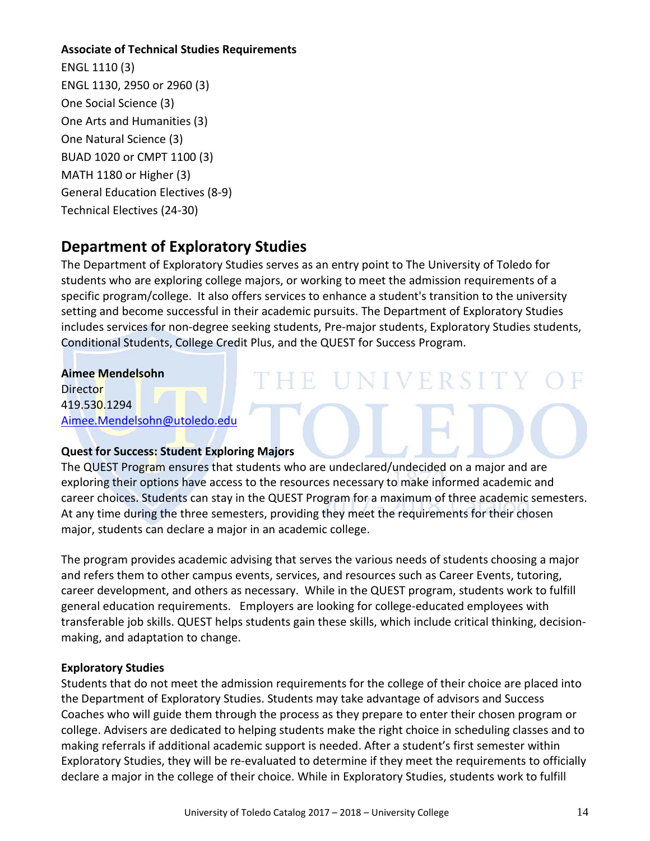#### **Associate of Technical Studies Requirements**

ENGL 1110 (3) ENGL 1130, 2950 or 2960 (3) One Social Science (3) One Arts and Humanities (3) One Natural Science (3) BUAD 1020 or CMPT 1100 (3) MATH 1180 or Higher (3) General Education Electives (8-9) Technical Electives (24-30)

## **Department of Exploratory Studies**

The Department of Exploratory Studies serves as an entry point to The University of Toledo for students who are exploring college majors, or working to meet the admission requirements of a specific program/college. It also offers services to enhance a student's transition to the university setting and become successful in their academic pursuits. The Department of Exploratory Studies includes services for non-degree seeking students, Pre-major students, Exploratory Studies students, Conditional Students, College Credit Plus, and the QUEST for Success Program.

THE UNIVERSITY

#### **Aimee Mendelsohn**

**Director** 419.530.1294 [Aimee.Mendelsohn@utoledo.edu](mailto:Aimee.Mendelsohn@utoledo.edu)

#### **Quest for Success: Student Exploring Majors**

The QUEST Program ensures that students who are undeclared/undecided on a major and are exploring their options have access to the resources necessary to make informed academic and career choices. Students can stay in the QUEST Program for a maximum of three academic semesters. At any time during the three semesters, providing they meet the requirements for their chosen major, students can declare a major in an academic college.

The program provides academic advising that serves the various needs of students choosing a major and refers them to other campus events, services, and resources such as Career Events, tutoring, career development, and others as necessary. While in the QUEST program, students work to fulfill general education requirements. Employers are looking for college-educated employees with transferable job skills. QUEST helps students gain these skills, which include critical thinking, decisionmaking, and adaptation to change.

#### **Exploratory Studies**

Students that do not meet the admission requirements for the college of their choice are placed into the Department of Exploratory Studies. Students may take advantage of advisors and Success Coaches who will guide them through the process as they prepare to enter their chosen program or college. Advisers are dedicated to helping students make the right choice in scheduling classes and to making referrals if additional academic support is needed. After a student's first semester within Exploratory Studies, they will be re-evaluated to determine if they meet the requirements to officially declare a major in the college of their choice. While in Exploratory Studies, students work to fulfill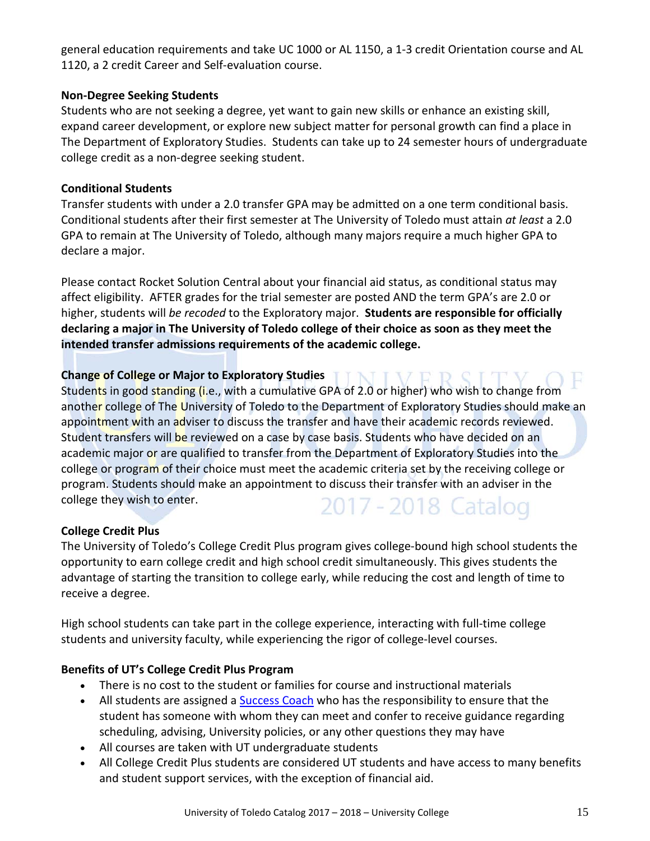general education requirements and take UC 1000 or AL 1150, a 1-3 credit Orientation course and AL 1120, a 2 credit Career and Self-evaluation course.

#### **Non-Degree Seeking Students**

Students who are not seeking a degree, yet want to gain new skills or enhance an existing skill, expand career development, or explore new subject matter for personal growth can find a place in The Department of Exploratory Studies. Students can take up to 24 semester hours of undergraduate college credit as a non-degree seeking student.

#### **Conditional Students**

Transfer students with under a 2.0 transfer GPA may be admitted on a one term conditional basis. Conditional students after their first semester at The University of Toledo must attain *at least* a 2.0 GPA to remain at The University of Toledo, although many majors require a much higher GPA to declare a major.

Please contact Rocket Solution Central about your financial aid status, as conditional status may affect eligibility. AFTER grades for the trial semester are posted AND the term GPA's are 2.0 or higher, students will *be recoded* to the Exploratory major. **Students are responsible for officially declaring a major in The University of Toledo college of their choice as soon as they meet the intended transfer admissions requirements of the academic college.**

#### **Change of College or Major to Exploratory Studies TINIVERSIT**

Students in good standing (i.e., with a cumulative GPA of 2.0 or higher) who wish to change from another college of The University of Toledo to the Department of Exploratory Studies should make an appointment with an adviser to discuss the transfer and have their academic records reviewed. Student transfers will be reviewed on a case by case basis. Students who have decided on an academic major or are qualified to transfer from the Department of Exploratory Studies into the college or program of their choice must meet the academic criteria set by the receiving college or program. Students should make an appointment to discuss their transfer with an adviser in the college they wish to enter. 2017 - 2018 Catalog

#### **College Credit Plus**

The University of Toledo's College Credit Plus program gives college-bound high school students the opportunity to earn college credit and high school credit simultaneously. This gives students the advantage of starting the transition to college early, while reducing the cost and length of time to receive a degree.

High school students can take part in the college experience, interacting with full-time college students and university faculty, while experiencing the rigor of college-level courses.

#### **Benefits of UT's College Credit Plus Program**

- There is no cost to the student or families for course and instructional materials
- All students are assigned a **Success Coach** who has the responsibility to ensure that the student has someone with whom they can meet and confer to receive guidance regarding scheduling, advising, University policies, or any other questions they may have
- All courses are taken with UT undergraduate students
- All College Credit Plus students are considered UT students and have access to many benefits and student support services, with the exception of financial aid.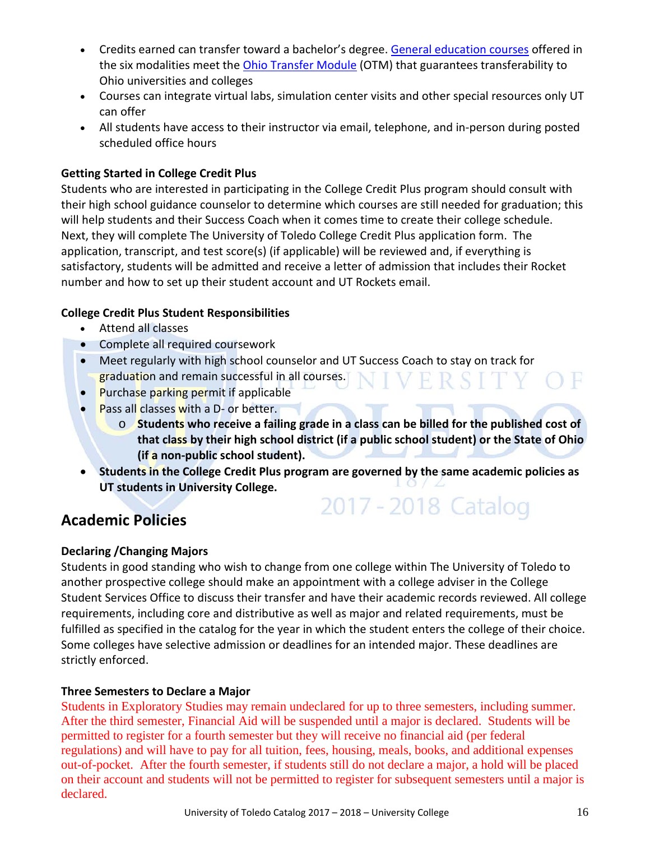- Credits earned can transfer toward a bachelor's degree. [General education courses](http://www.utoledo.edu/admission/dualcredit/course-options.html) offered in the six modalities meet the [Ohio Transfer Module](https://www.ohiohighered.org/transfer/transfermodule) (OTM) that guarantees transferability to Ohio universities and colleges
- Courses can integrate virtual labs, simulation center visits and other special resources only UT can offer
- All students have access to their instructor via email, telephone, and in-person during posted scheduled office hours

#### **Getting Started in College Credit Plus**

Students who are interested in participating in the College Credit Plus program should consult with their high school guidance counselor to determine which courses are still needed for graduation; this will help students and their Success Coach when it comes time to create their college schedule. Next, they will complete The University of Toledo College Credit Plus application form.The application, transcript, and test score(s) (if applicable) will be reviewed and, if everything is satisfactory, students will be admitted and receive a letter of admission that includes their Rocket number and how to set up their student account and UT Rockets email.

#### **College Credit Plus Student Responsibilities**

- Attend all classes
- Complete all required coursework
- Meet regularly with high school counselor and UT Success Coach to stay on track for graduation and remain successful in all courses. VERSITY OF
- Purchase parking permit if applicable
- Pass all classes with a D- or better.
	- o **Students who receive a failing grade in a class can be billed for the published cost of that class by their high school district (if a public school student) or the State of Ohio (if a non-public school student).**
- **Students in the College Credit Plus program are governed by the same academic policies as UT students in University College.** 2017 - 2018 Catalog

# **Academic Policies**

#### **Declaring /Changing Majors**

Students in good standing who wish to change from one college within The University of Toledo to another prospective college should make an appointment with a college adviser in the College Student Services Office to discuss their transfer and have their academic records reviewed. All college requirements, including core and distributive as well as major and related requirements, must be fulfilled as specified in the catalog for the year in which the student enters the college of their choice. Some colleges have selective admission or deadlines for an intended major. These deadlines are strictly enforced.

#### **Three Semesters to Declare a Major**

Students in Exploratory Studies may remain undeclared for up to three semesters, including summer. After the third semester, Financial Aid will be suspended until a major is declared. Students will be permitted to register for a fourth semester but they will receive no financial aid (per federal regulations) and will have to pay for all tuition, fees, housing, meals, books, and additional expenses out-of-pocket. After the fourth semester, if students still do not declare a major, a hold will be placed on their account and students will not be permitted to register for subsequent semesters until a major is declared.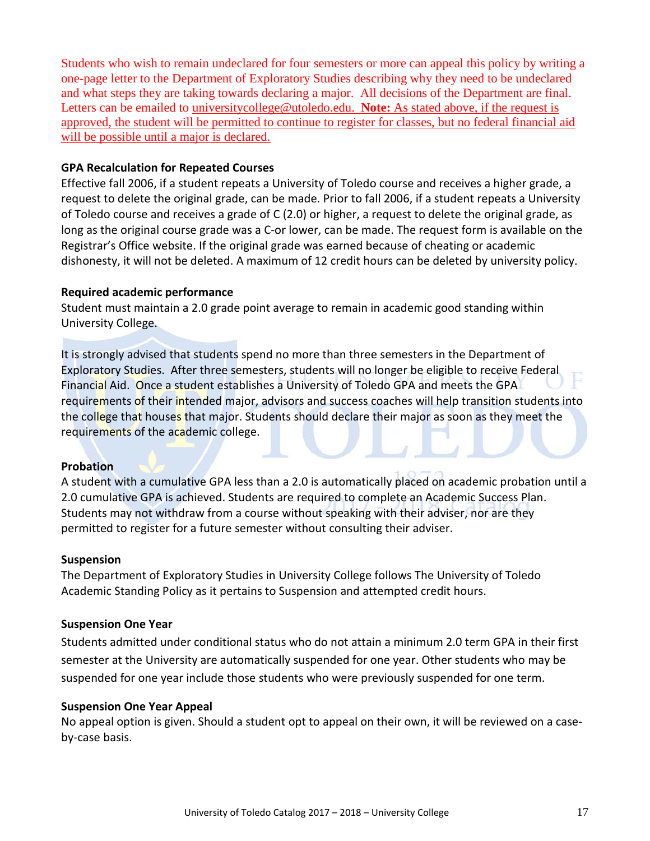Students who wish to remain undeclared for four semesters or more can appeal this policy by writing a one-page letter to the Department of Exploratory Studies describing why they need to be undeclared and what steps they are taking towards declaring a major. All decisions of the Department are final. Letters can be emailed to [universitycollege@utoledo.edu.](mailto:universitycollege@utoledo.edu) **Note:** As stated above, if the request is approved, the student will be permitted to continue to register for classes, but no federal financial aid will be possible until a major is declared.

#### **GPA Recalculation for Repeated Courses**

Effective fall 2006, if a student repeats a University of Toledo course and receives a higher grade, a request to delete the original grade, can be made. Prior to fall 2006, if a student repeats a University of Toledo course and receives a grade of C (2.0) or higher, a request to delete the original grade, as long as the original course grade was a C-or lower, can be made. The request form is available on the Registrar's Office website. If the original grade was earned because of cheating or academic dishonesty, it will not be deleted. A maximum of 12 credit hours can be deleted by university policy.

#### **Required academic performance**

Student must maintain a 2.0 grade point average to remain in academic good standing within University College.

It is strongly advised that students spend no more than three semesters in the Department of Exploratory Studies. After three semesters, students will no longer be eligible to receive Federal Financial Aid. Once a student establishes a University of Toledo GPA and meets the GPA requirements of their intended major, advisors and success coaches will help transition students into the college that houses that major. Students should declare their major as soon as they meet the requirements of the academic college.

#### **Probation**

A student with a cumulative GPA less than a 2.0 is automatically placed on academic probation until a 2.0 cumulative GPA is achieved. Students are required to complete an Academic Success Plan. Students may not withdraw from a course without speaking with their adviser, nor are they permitted to register for a future semester without consulting their adviser.

#### **Suspension**

The Department of Exploratory Studies in University College follows The University of Toledo Academic Standing Policy as it pertains to Suspension and attempted credit hours.

#### **Suspension One Year**

Students admitted under conditional status who do not attain a minimum 2.0 term GPA in their first semester at the University are automatically suspended for one year. Other students who may be suspended for one year include those students who were previously suspended for one term.

#### **Suspension One Year Appeal**

No appeal option is given. Should a student opt to appeal on their own, it will be reviewed on a caseby-case basis.